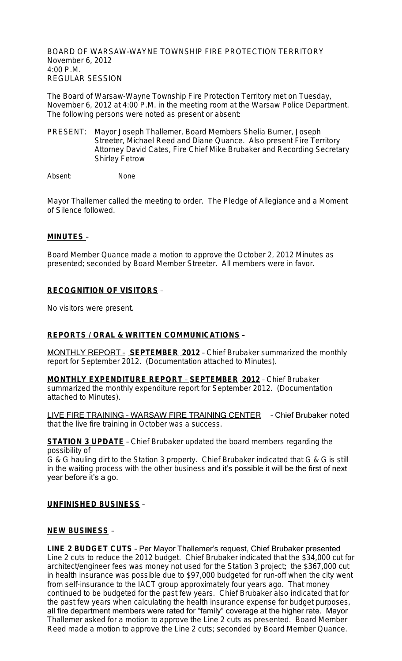BOARD OF WARSAW-WAYNE TOWNSHIP FIRE PROTECTION TERRITORY November 6, 2012 4:00 P.M. REGULAR SESSION

The Board of Warsaw-Wayne Township Fire Protection Territory met on Tuesday, November 6, 2012 at 4:00 P.M. in the meeting room at the Warsaw Police Department. The following persons were noted as present or absent:

PRESENT: Mayor Joseph Thallemer, Board Members Shelia Burner, Joseph Streeter, Michael Reed and Diane Quance. Also present Fire Territory Attorney David Cates, Fire Chief Mike Brubaker and Recording Secretary Shirley Fetrow

Absent: None

Mayor Thallemer called the meeting to order. The Pledge of Allegiance and a Moment of Silence followed.

#### **MINUTES** –

Board Member Quance made a motion to approve the October 2, 2012 Minutes as presented; seconded by Board Member Streeter. All members were in favor.

## **RECOGNITION OF VISITORS** –

No visitors were present.

### **REPORTS / ORAL & WRITTEN COMMUNICATIONS** –

MONTHLY REPORT – **SEPTEMBER 2012** – Chief Brubaker summarized the monthly report for September 2012. (Documentation attached to Minutes).

**MONTHLY EXPENDITURE REPORT** – **SEPTEMBER 2012** – Chief Brubaker summarized the monthly expenditure report for September 2012. (Documentation attached to Minutes).

LIVE FIRE TRAINING – WARSAW FIRE TRAINING CENTER – Chief Brubaker noted that the live fire training in October was a success.

#### **STATION 3 UPDATE** - Chief Brubaker updated the board members regarding the possibility of

G & G hauling dirt to the Station 3 property. Chief Brubaker indicated that G & G is still in the waiting process with the other business and it's possible it will be the first of next year before it's a go.

### **UNFINISHED BUSINESS** –

#### **NEW BUSINESS** –

**LINE 2 BUDGET CUTS** – Per Mayor Thallemer's request, Chief Brubaker presented Line 2 cuts to reduce the 2012 budget. Chief Brubaker indicated that the \$34,000 cut for architect/engineer fees was money not used for the Station 3 project; the \$367,000 cut in health insurance was possible due to \$97,000 budgeted for run-off when the city went from self-insurance to the IACT group approximately four years ago. That money continued to be budgeted for the past few years. Chief Brubaker also indicated that for the past few years when calculating the health insurance expense for budget purposes, all fire department members were rated for "family" coverage at the higher rate. Mayor Thallemer asked for a motion to approve the Line 2 cuts as presented. Board Member Reed made a motion to approve the Line 2 cuts; seconded by Board Member Quance.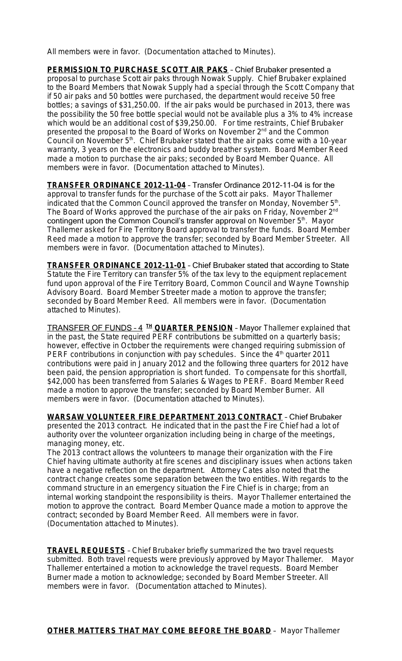All members were in favor. (Documentation attached to Minutes).

**PERMISSION TO PURCHASE SCOTT AIR PAKS** – Chief Brubaker presented a proposal to purchase Scott air paks through Nowak Supply. Chief Brubaker explained to the Board Members that Nowak Supply had a special through the Scott Company that if 50 air paks and 50 bottles were purchased, the department would receive 50 free bottles; a savings of \$31,250.00. If the air paks would be purchased in 2013, there was the possibility the 50 free bottle special would not be available plus a 3% to 4% increase which would be an additional cost of \$39,250.00. For time restraints, Chief Brubaker presented the proposal to the Board of Works on November 2<sup>nd</sup> and the Common Council on November 5<sup>th</sup>. Chief Brubaker stated that the air paks come with a 10-year warranty, 3 years on the electronics and buddy breather system. Board Member Reed made a motion to purchase the air paks; seconded by Board Member Quance. All members were in favor. (Documentation attached to Minutes).

**TRANSFER ORDINANCE 2012-11-04** – Transfer Ordinance 2012-11-04 is for the approval to transfer funds for the purchase of the Scott air paks. Mayor Thallemer indicated that the Common Council approved the transfer on Monday, November 5<sup>th</sup>. The Board of Works approved the purchase of the air paks on Friday, November 2<sup>nd</sup> contingent upon the Common Council's transfer approval on November 5th. Mayor Thallemer asked for Fire Territory Board approval to transfer the funds. Board Member Reed made a motion to approve the transfer; seconded by Board Member Streeter. All members were in favor. (Documentation attached to Minutes).

**TRANSFER ORDINANCE 2012-11-01** – Chief Brubaker stated that according to State Statute the Fire Territory can transfer 5% of the tax levy to the equipment replacement fund upon approval of the Fire Territory Board, Common Council and Wayne Township Advisory Board. Board Member Streeter made a motion to approve the transfer; seconded by Board Member Reed. All members were in favor. (Documentation attached to Minutes).

TRANSFER OF FUNDS – 4 **TH QUARTER PENSION** – Mayor Thallemer explained that in the past, the State required PERF contributions be submitted on a quarterly basis; however, effective in October the requirements were changed requiring submission of PERF contributions in conjunction with pay schedules. Since the  $4<sup>th</sup>$  quarter 2011 contributions were paid in January 2012 and the following three quarters for 2012 have been paid, the pension appropriation is short funded. To compensate for this shortfall, \$42,000 has been transferred from Salaries & Wages to PERF. Board Member Reed made a motion to approve the transfer; seconded by Board Member Burner. All members were in favor. (Documentation attached to Minutes).

**WARSAW VOLUNTEER FIRE DEPARTMENT 2013 CONTRACT** – Chief Brubaker presented the 2013 contract. He indicated that in the past the Fire Chief had a lot of authority over the volunteer organization including being in charge of the meetings, managing money, etc.

The 2013 contract allows the volunteers to manage their organization with the Fire Chief having ultimate authority at fire scenes and disciplinary issues when actions taken have a negative reflection on the department. Attorney Cates also noted that the contract change creates some separation between the two entities. With regards to the command structure in an emergency situation the Fire Chief is in charge; from an internal working standpoint the responsibility is theirs. Mayor Thallemer entertained the motion to approve the contract. Board Member Quance made a motion to approve the contract; seconded by Board Member Reed. All members were in favor. (Documentation attached to Minutes).

**TRAVEL REQUESTS** – Chief Brubaker briefly summarized the two travel requests submitted. Both travel requests were previously approved by Mayor Thallemer. Mayor Thallemer entertained a motion to acknowledge the travel requests. Board Member Burner made a motion to acknowledge; seconded by Board Member Streeter. All members were in favor. (Documentation attached to Minutes).